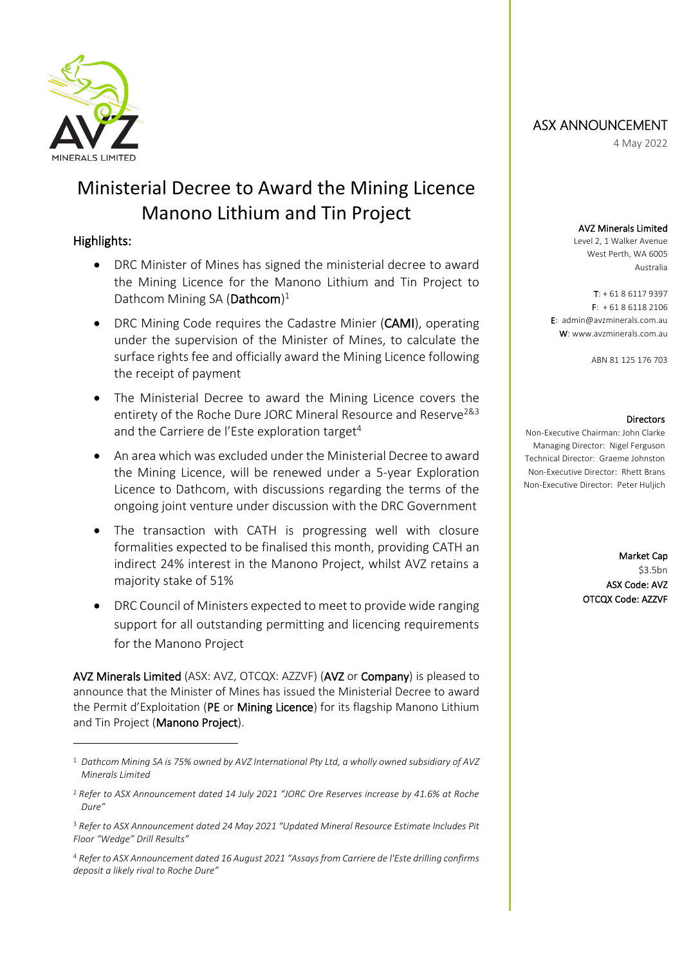

# Ministerial Decree to Award the Mining Licence Manono Lithium and Tin Project

## Highlights:

- DRC Minister of Mines has signed the ministerial decree to award the Mining Licence for the Manono Lithium and Tin Project to Dathcom Mining SA (Dathcom)<sup>1</sup>
- DRC Mining Code requires the Cadastre Minier (CAMI), operating under the supervision of the Minister of Mines, to calculate the surface rights fee and officially award the Mining Licence following the receipt of payment
- The Ministerial Decree to award the Mining Licence covers the entirety of the Roche Dure JORC Mineral Resource and Reserve<sup>2&3</sup> and the Carriere de l'Este exploration target<sup>4</sup>
- An area which was excluded under the Ministerial Decree to award the Mining Licence, will be renewed under a 5-year Exploration Licence to Dathcom, with discussions regarding the terms of the ongoing joint venture under discussion with the DRC Government
- The transaction with CATH is progressing well with closure formalities expected to be finalised this month, providing CATH an indirect 24% interest in the Manono Project, whilst AVZ retains a majority stake of 51%
- DRC Council of Ministers expected to meet to provide wide ranging support for all outstanding permitting and licencing requirements for the Manono Project

AVZ Minerals Limited (ASX: AVZ, OTCQX: AZZVF) (AVZ or Company) is pleased to announce that the Minister of Mines has issued the Ministerial Decree to award the Permit d'Exploitation (PE or Mining Licence) for its flagship Manono Lithium and Tin Project (Manono Project).

## ASX ANNOUNCEMENT

4 May 2022

#### AVZ Minerals Limited

Level 2, 1 Walker Avenue West Perth, WA 6005 Australia

 $T: +61861179397$ F: + 61 8 6118 2106 E: admin@avzminerals.com.au W: www.avzminerals.com.au

ABN 81 125 176 703

#### **Directors**

Non-Executive Chairman: John Clarke Managing Director: Nigel Ferguson Technical Director: Graeme Johnston Non-Executive Director: Rhett Brans Non-Executive Director: Peter Huljich

> Market Cap \$3.5bn ASX Code: AVZ OTCQX Code: AZZVF

<sup>1</sup> *Dathcom Mining SA is 75% owned by AVZ International Pty Ltd, a wholly owned subsidiary of AVZ Minerals Limited*

<sup>2</sup> *Refer to ASX Announcement dated 14 July 2021 "JORC Ore Reserves increase by 41.6% at Roche Dure"*

<sup>3</sup> *Refer to ASX Announcement dated 24 May 2021 "Updated Mineral Resource Estimate Includes Pit Floor "Wedge" Drill Results"*

<sup>4</sup> *Refer to ASX Announcement dated 16 August 2021 "Assays from Carriere de l'Este drilling confirms deposit a likely rival to Roche Dure"*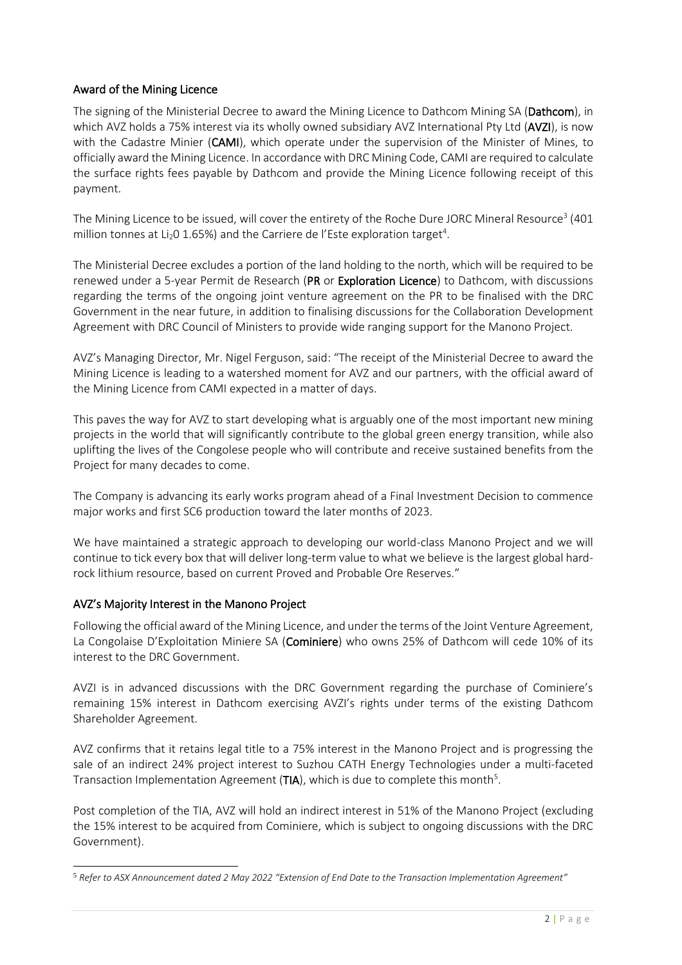### Award of the Mining Licence

The signing of the Ministerial Decree to award the Mining Licence to Dathcom Mining SA (Dathcom), in which AVZ holds a 75% interest via its wholly owned subsidiary AVZ International Pty Ltd (AVZI), is now with the Cadastre Minier (CAMI), which operate under the supervision of the Minister of Mines, to officially award the Mining Licence. In accordance with DRC Mining Code, CAMI are required to calculate the surface rights fees payable by Dathcom and provide the Mining Licence following receipt of this payment.

The Mining Licence to be issued, will cover the entirety of the Roche Dure JORC Mineral Resource $^3$  (401  $\,$ million tonnes at Li<sub>2</sub>0 1.65%) and the Carriere de l'Este exploration target<sup>4</sup>.

The Ministerial Decree excludes a portion of the land holding to the north, which will be required to be renewed under a 5-year Permit de Research (PR or Exploration Licence) to Dathcom, with discussions regarding the terms of the ongoing joint venture agreement on the PR to be finalised with the DRC Government in the near future, in addition to finalising discussions for the Collaboration Development Agreement with DRC Council of Ministers to provide wide ranging support for the Manono Project.

AVZ's Managing Director, Mr. Nigel Ferguson, said: "The receipt of the Ministerial Decree to award the Mining Licence is leading to a watershed moment for AVZ and our partners, with the official award of the Mining Licence from CAMI expected in a matter of days.

This paves the way for AVZ to start developing what is arguably one of the most important new mining projects in the world that will significantly contribute to the global green energy transition, while also uplifting the lives of the Congolese people who will contribute and receive sustained benefits from the Project for many decades to come.

The Company is advancing its early works program ahead of a Final Investment Decision to commence major works and first SC6 production toward the later months of 2023.

We have maintained a strategic approach to developing our world-class Manono Project and we will continue to tick every box that will deliver long-term value to what we believe is the largest global hardrock lithium resource, based on current Proved and Probable Ore Reserves."

#### AVZ's Majority Interest in the Manono Project

Following the official award of the Mining Licence, and under the terms of the Joint Venture Agreement, La Congolaise D'Exploitation Miniere SA (Cominiere) who owns 25% of Dathcom will cede 10% of its interest to the DRC Government.

AVZI is in advanced discussions with the DRC Government regarding the purchase of Cominiere's remaining 15% interest in Dathcom exercising AVZI's rights under terms of the existing Dathcom Shareholder Agreement.

AVZ confirms that it retains legal title to a 75% interest in the Manono Project and is progressing the sale of an indirect 24% project interest to Suzhou CATH Energy Technologies under a multi-faceted Transaction Implementation Agreement (TIA), which is due to complete this month<sup>5</sup>.

Post completion of the TIA, AVZ will hold an indirect interest in 51% of the Manono Project (excluding the 15% interest to be acquired from Cominiere, which is subject to ongoing discussions with the DRC Government).

<sup>5</sup> *Refer to ASX Announcement dated 2 May 2022 "Extension of End Date to the Transaction Implementation Agreement"*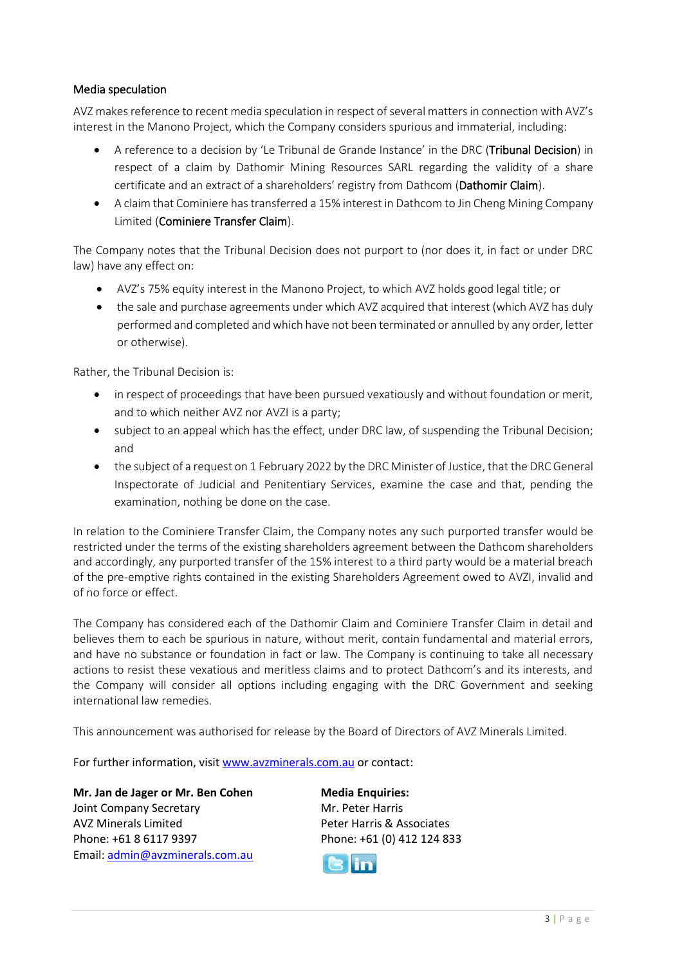#### Media speculation

AVZ makes reference to recent media speculation in respect of several matters in connection with AVZ's interest in the Manono Project, which the Company considers spurious and immaterial, including:

- A reference to a decision by 'Le Tribunal de Grande Instance' in the DRC (Tribunal Decision) in respect of a claim by Dathomir Mining Resources SARL regarding the validity of a share certificate and an extract of a shareholders' registry from Dathcom (Dathomir Claim).
- A claim that Cominiere has transferred a 15% interest in Dathcom to Jin Cheng Mining Company Limited (Cominiere Transfer Claim).

The Company notes that the Tribunal Decision does not purport to (nor does it, in fact or under DRC law) have any effect on:

- AVZ's 75% equity interest in the Manono Project, to which AVZ holds good legal title; or
- the sale and purchase agreements under which AVZ acquired that interest (which AVZ has duly performed and completed and which have not been terminated or annulled by any order, letter or otherwise).

Rather, the Tribunal Decision is:

- in respect of proceedings that have been pursued vexatiously and without foundation or merit, and to which neither AVZ nor AVZI is a party;
- subject to an appeal which has the effect, under DRC law, of suspending the Tribunal Decision; and
- the subject of a request on 1 February 2022 by the DRC Minister of Justice, that the DRC General Inspectorate of Judicial and Penitentiary Services, examine the case and that, pending the examination, nothing be done on the case.

In relation to the Cominiere Transfer Claim, the Company notes any such purported transfer would be restricted under the terms of the existing shareholders agreement between the Dathcom shareholders and accordingly, any purported transfer of the 15% interest to a third party would be a material breach of the pre-emptive rights contained in the existing Shareholders Agreement owed to AVZI, invalid and of no force or effect.

The Company has considered each of the Dathomir Claim and Cominiere Transfer Claim in detail and believes them to each be spurious in nature, without merit, contain fundamental and material errors, and have no substance or foundation in fact or law. The Company is continuing to take all necessary actions to resist these vexatious and meritless claims and to protect Dathcom's and its interests, and the Company will consider all options including engaging with the DRC Government and seeking international law remedies.

This announcement was authorised for release by the Board of Directors of AVZ Minerals Limited.

For further information, visit [www.avzminerals.com.au](http://www.avzminerals.com.au/) or contact:

**Mr. Jan de Jager or Mr. Ben Cohen Media Enquiries:** Joint Company Secretary Mr. Peter Harris AVZ Minerals Limited Peter Harris & Associates Phone: +61 8 6117 9397 Phone: +61 (0) 412 124 833 Email[: admin@avzminerals.com.au](mailto:admin@avzminerals.com.au)

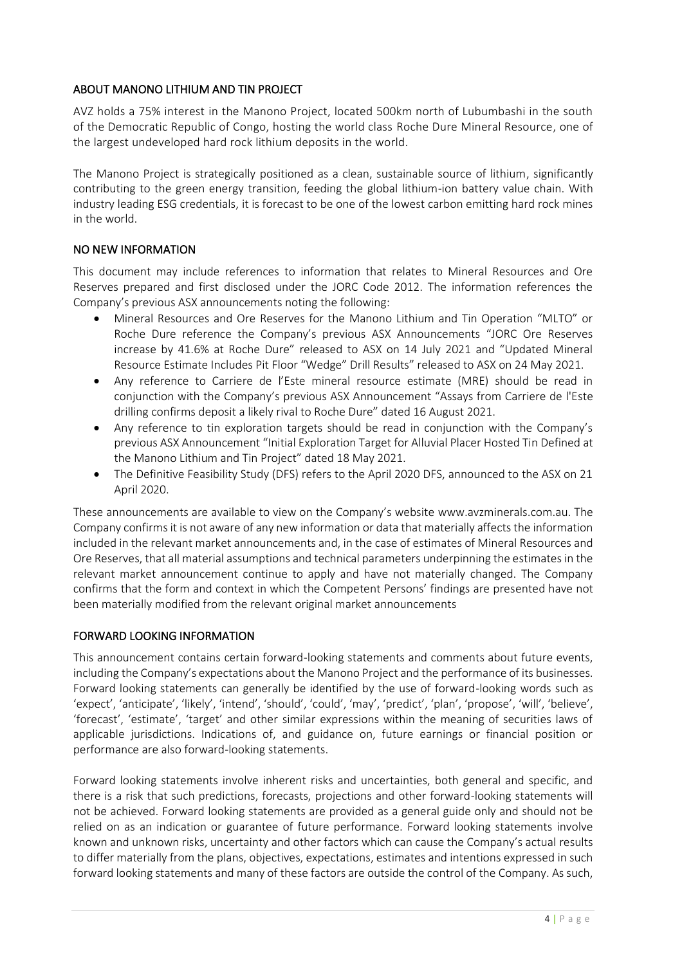### ABOUT MANONO LITHIUM AND TIN PROJECT

AVZ holds a 75% interest in the Manono Project, located 500km north of Lubumbashi in the south of the Democratic Republic of Congo, hosting the world class Roche Dure Mineral Resource, one of the largest undeveloped hard rock lithium deposits in the world.

The Manono Project is strategically positioned as a clean, sustainable source of lithium, significantly contributing to the green energy transition, feeding the global lithium-ion battery value chain. With industry leading ESG credentials, it is forecast to be one of the lowest carbon emitting hard rock mines in the world.

#### NO NEW INFORMATION

This document may include references to information that relates to Mineral Resources and Ore Reserves prepared and first disclosed under the JORC Code 2012. The information references the Company's previous ASX announcements noting the following:

- Mineral Resources and Ore Reserves for the Manono Lithium and Tin Operation "MLTO" or Roche Dure reference the Company's previous ASX Announcements "JORC Ore Reserves increase by 41.6% at Roche Dure" released to ASX on 14 July 2021 and "Updated Mineral Resource Estimate Includes Pit Floor "Wedge" Drill Results" released to ASX on 24 May 2021.
- Any reference to Carriere de l'Este mineral resource estimate (MRE) should be read in conjunction with the Company's previous ASX Announcement "Assays from Carriere de l'Este drilling confirms deposit a likely rival to Roche Dure" dated 16 August 2021.
- Any reference to tin exploration targets should be read in conjunction with the Company's previous ASX Announcement "Initial Exploration Target for Alluvial Placer Hosted Tin Defined at the Manono Lithium and Tin Project" dated 18 May 2021.
- The Definitive Feasibility Study (DFS) refers to the April 2020 DFS, announced to the ASX on 21 April 2020.

These announcements are available to view on the Company's website www.avzminerals.com.au. The Company confirms it is not aware of any new information or data that materially affects the information included in the relevant market announcements and, in the case of estimates of Mineral Resources and Ore Reserves, that all material assumptions and technical parameters underpinning the estimates in the relevant market announcement continue to apply and have not materially changed. The Company confirms that the form and context in which the Competent Persons' findings are presented have not been materially modified from the relevant original market announcements

#### FORWARD LOOKING INFORMATION

This announcement contains certain forward-looking statements and comments about future events, including the Company's expectations about the Manono Project and the performance of its businesses. Forward looking statements can generally be identified by the use of forward-looking words such as 'expect', 'anticipate', 'likely', 'intend', 'should', 'could', 'may', 'predict', 'plan', 'propose', 'will', 'believe', 'forecast', 'estimate', 'target' and other similar expressions within the meaning of securities laws of applicable jurisdictions. Indications of, and guidance on, future earnings or financial position or performance are also forward-looking statements.

Forward looking statements involve inherent risks and uncertainties, both general and specific, and there is a risk that such predictions, forecasts, projections and other forward-looking statements will not be achieved. Forward looking statements are provided as a general guide only and should not be relied on as an indication or guarantee of future performance. Forward looking statements involve known and unknown risks, uncertainty and other factors which can cause the Company's actual results to differ materially from the plans, objectives, expectations, estimates and intentions expressed in such forward looking statements and many of these factors are outside the control of the Company. As such,